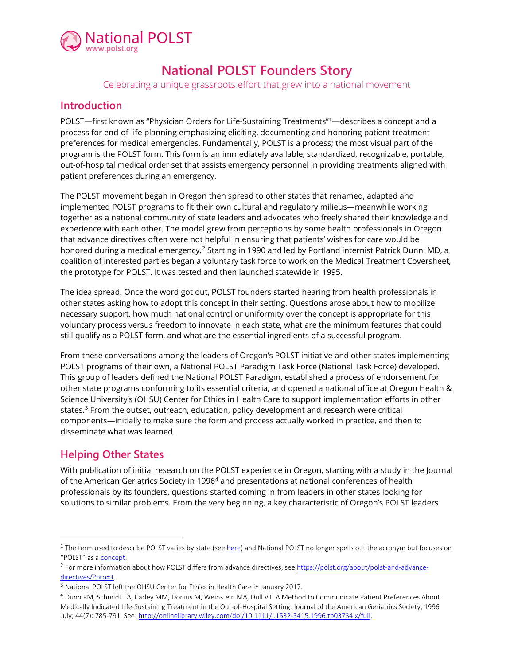

# **National POLST Founders Story**

Celebrating a unique grassroots effort that grew into a national movement

### **Introduction**

POLST—first known as "Physician Orders for Life-Sustaining Treatments"[1—](#page-0-0)describes a concept and a process for end-of-life planning emphasizing eliciting, documenting and honoring patient treatment preferences for medical emergencies. Fundamentally, POLST is a process; the most visual part of the program is the POLST form. This form is an immediately available, standardized, recognizable, portable, out-of-hospital medical order set that assists emergency personnel in providing treatments aligned with patient preferences during an emergency.

The POLST movement began in Oregon then spread to other states that renamed, adapted and implemented POLST programs to fit their own cultural and regulatory milieus—meanwhile working together as a national community of state leaders and advocates who freely shared their knowledge and experience with each other. The model grew from perceptions by some health professionals in Oregon that advance directives often were not helpful in ensuring that patients' wishes for care would be honored during a medical emergency.<sup>[2](#page-0-1)</sup> Starting in 1990 and led by Portland internist Patrick Dunn, MD, a coalition of interested parties began a voluntary task force to work on the Medical Treatment Coversheet, the prototype for POLST. It was tested and then launched statewide in 1995.

The idea spread. Once the word got out, POLST founders started hearing from health professionals in other states asking how to adopt this concept in their setting. Questions arose about how to mobilize necessary support, how much national control or uniformity over the concept is appropriate for this voluntary process versus freedom to innovate in each state, what are the minimum features that could still qualify as a POLST form, and what are the essential ingredients of a successful program.

From these conversations among the leaders of Oregon's POLST initiative and other states implementing POLST programs of their own, a National POLST Paradigm Task Force (National Task Force) developed. This group of leaders defined the National POLST Paradigm, established a process of endorsement for other state programs conforming to its essential criteria, and opened a national office at Oregon Health & Science University's (OHSU) Center for Ethics in Health Care to support implementation efforts in other states.<sup>[3](#page-0-2)</sup> From the outset, outreach, education, policy development and research were critical components—initially to make sure the form and process actually worked in practice, and then to disseminate what was learned.

## **Helping Other States**

With publication of initial research on the POLST experience in Oregon, starting with a study in the Journal of the American Geriatrics Society in 1996[4](#page-0-3) and presentations at national conferences of health professionals by its founders, questions started coming in from leaders in other states looking for solutions to similar problems. From the very beginning, a key characteristic of Oregon's POLST leaders

<span id="page-0-0"></span><sup>&</sup>lt;sup>1</sup> The term used to describe POLST varies by state (se[e here\)](https://polst.org/program-names/) and National POLST no longer spells out the acronym but focuses on "POLST" as a **concept**.

<span id="page-0-1"></span><sup>&</sup>lt;sup>2</sup> For more information about how POLST differs from advance directives, see [https://polst.org/about/polst-and-advance](https://polst.org/about/polst-and-advance-directives/?pro=1)[directives/?pro=1](https://polst.org/about/polst-and-advance-directives/?pro=1)

<span id="page-0-2"></span><sup>3</sup> National POLST left the OHSU Center for Ethics in Health Care in January 2017.

<span id="page-0-3"></span><sup>4</sup> Dunn PM, Schmidt TA, Carley MM, Donius M, Weinstein MA, Dull VT. A Method to Communicate Patient Preferences About Medically Indicated Life-Sustaining Treatment in the Out-of-Hospital Setting. Journal of the American Geriatrics Society; 1996 July; 44(7): 785-791. See: [http://onlinelibrary.wiley.com/doi/10.1111/j.1532-5415.1996.tb03734.x/full.](http://onlinelibrary.wiley.com/doi/10.1111/j.1532-5415.1996.tb03734.x/full)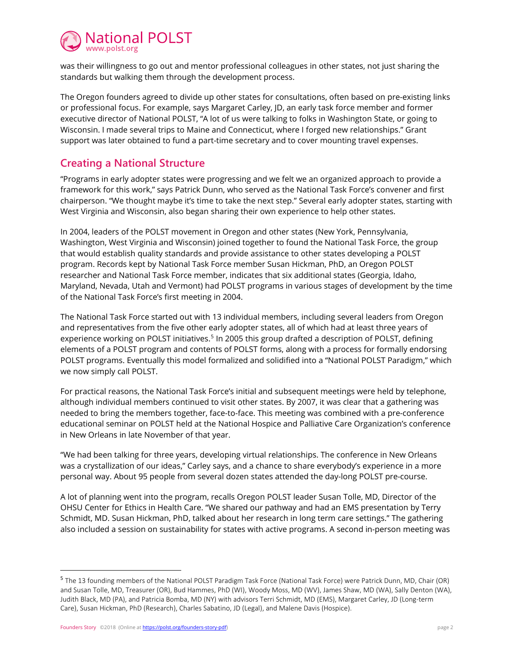

was their willingness to go out and mentor professional colleagues in other states, not just sharing the standards but walking them through the development process.

The Oregon founders agreed to divide up other states for consultations, often based on pre-existing links or professional focus. For example, says Margaret Carley, JD, an early task force member and former executive director of National POLST, "A lot of us were talking to folks in Washington State, or going to Wisconsin. I made several trips to Maine and Connecticut, where I forged new relationships." Grant support was later obtained to fund a part-time secretary and to cover mounting travel expenses.

#### **Creating a National Structure**

"Programs in early adopter states were progressing and we felt we an organized approach to provide a framework for this work," says Patrick Dunn, who served as the National Task Force's convener and first chairperson. "We thought maybe it's time to take the next step." Several early adopter states, starting with West Virginia and Wisconsin, also began sharing their own experience to help other states.

In 2004, leaders of the POLST movement in Oregon and other states (New York, Pennsylvania, Washington, West Virginia and Wisconsin) joined together to found the National Task Force, the group that would establish quality standards and provide assistance to other states developing a POLST program. Records kept by National Task Force member Susan Hickman, PhD, an Oregon POLST researcher and National Task Force member, indicates that six additional states (Georgia, Idaho, Maryland, Nevada, Utah and Vermont) had POLST programs in various stages of development by the time of the National Task Force's first meeting in 2004.

The National Task Force started out with 13 individual members, including several leaders from Oregon and representatives from the five other early adopter states, all of which had at least three years of experience working on POLST initiatives.<sup>[5](#page-1-0)</sup> In 2005 this group drafted a description of POLST, defining elements of a POLST program and contents of POLST forms, along with a process for formally endorsing POLST programs. Eventually this model formalized and solidified into a "National POLST Paradigm," which we now simply call POLST.

For practical reasons, the National Task Force's initial and subsequent meetings were held by telephone, although individual members continued to visit other states. By 2007, it was clear that a gathering was needed to bring the members together, face-to-face. This meeting was combined with a pre-conference educational seminar on POLST held at the National Hospice and Palliative Care Organization's conference in New Orleans in late November of that year.

"We had been talking for three years, developing virtual relationships. The conference in New Orleans was a crystallization of our ideas," Carley says, and a chance to share everybody's experience in a more personal way. About 95 people from several dozen states attended the day-long POLST pre-course.

A lot of planning went into the program, recalls Oregon POLST leader Susan Tolle, MD, Director of the OHSU Center for Ethics in Health Care. "We shared our pathway and had an EMS presentation by Terry Schmidt, MD. Susan Hickman, PhD, talked about her research in long term care settings." The gathering also included a session on sustainability for states with active programs. A second in-person meeting was

<span id="page-1-0"></span><sup>5</sup> The 13 founding members of the National POLST Paradigm Task Force (National Task Force) were Patrick Dunn, MD, Chair (OR) and Susan Tolle, MD, Treasurer (OR), Bud Hammes, PhD (WI), Woody Moss, MD (WV), James Shaw, MD (WA), Sally Denton (WA), Judith Black, MD (PA), and Patricia Bomba, MD (NY) with advisors Terri Schmidt, MD (EMS), Margaret Carley, JD (Long-term Care), Susan Hickman, PhD (Research), Charles Sabatino, JD (Legal), and Malene Davis (Hospice).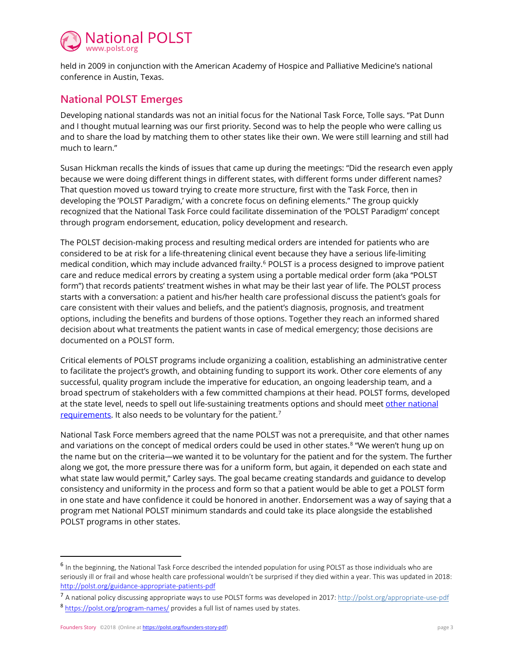

held in 2009 in conjunction with the American Academy of Hospice and Palliative Medicine's national conference in Austin, Texas.

#### **National POLST Emerges**

Developing national standards was not an initial focus for the National Task Force, Tolle says. "Pat Dunn and I thought mutual learning was our first priority. Second was to help the people who were calling us and to share the load by matching them to other states like their own. We were still learning and still had much to learn."

Susan Hickman recalls the kinds of issues that came up during the meetings: "Did the research even apply because we were doing different things in different states, with different forms under different names? That question moved us toward trying to create more structure, first with the Task Force, then in developing the 'POLST Paradigm,' with a concrete focus on defining elements." The group quickly recognized that the National Task Force could facilitate dissemination of the 'POLST Paradigm' concept through program endorsement, education, policy development and research.

The POLST decision-making process and resulting medical orders are intended for patients who are considered to be at risk for a life-threatening clinical event because they have a serious life-limiting medical condition, which may include advanced frailty[.6](#page-2-0) POLST is a process designed to improve patient care and reduce medical errors by creating a system using a portable medical order form (aka "POLST form") that records patients' treatment wishes in what may be their last year of life. The POLST process starts with a conversation: a patient and his/her health care professional discuss the patient's goals for care consistent with their values and beliefs, and the patient's diagnosis, prognosis, and treatment options, including the benefits and burdens of those options. Together they reach an informed shared decision about what treatments the patient wants in case of medical emergency; those decisions are documented on a POLST form.

Critical elements of POLST programs include organizing a coalition, establishing an administrative center to facilitate the project's growth, and obtaining funding to support its work. Other core elements of any successful, quality program include the imperative for education, an ongoing leadership team, and a broad spectrum of stakeholders with a few committed champions at their head. POLST forms, developed at the state level, needs to spell out life-sustaining treatments options and should mee[t other national](http://polst.org/endorsed-application-pdf)  [requirements.](http://polst.org/endorsed-application-pdf) It also needs to be voluntary for the patient.<sup>[7](#page-2-1)</sup>

National Task Force members agreed that the name POLST was not a prerequisite, and that other names and variations on the concept of medical orders could be used in other states.<sup>[8](#page-2-2)</sup> "We weren't hung up on the name but on the criteria—we wanted it to be voluntary for the patient and for the system. The further along we got, the more pressure there was for a uniform form, but again, it depended on each state and what state law would permit," Carley says. The goal became creating standards and guidance to develop consistency and uniformity in the process and form so that a patient would be able to get a POLST form in one state and have confidence it could be honored in another. Endorsement was a way of saying that a program met National POLST minimum standards and could take its place alongside the established POLST programs in other states.

<span id="page-2-0"></span><sup>6</sup> In the beginning, the National Task Force described the intended population for using POLST as those individuals who are seriously ill or frail and whose health care professional wouldn't be surprised if they died within a year. This was updated in 2018: <http://polst.org/guidance-appropriate-patients-pdf>

<span id="page-2-1"></span><sup>7</sup> A national policy discussing appropriate ways to use POLST forms was developed in 2017[: http://polst.org/appropriate-use-pdf](http://polst.org/appropriate-use-pdf)

<span id="page-2-2"></span><sup>&</sup>lt;sup>8</sup> <https://polst.org/program-names/> provides a full list of names used by states.